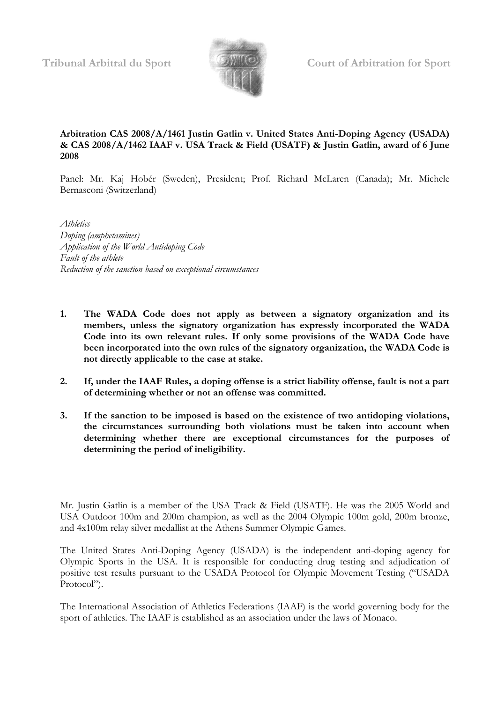

# **Arbitration CAS 2008/A/1461 Justin Gatlin v. United States Anti-Doping Agency (USADA) & CAS 2008/A/1462 IAAF v. USA Track & Field (USATF) & Justin Gatlin, award of 6 June 2008**

Panel: Mr. Kaj Hobér (Sweden), President; Prof. Richard McLaren (Canada); Mr. Michele Bernasconi (Switzerland)

*Athletics Doping (amphetamines) Application of the World Antidoping Code Fault of the athlete Reduction of the sanction based on exceptional circumstances*

- **1. The WADA Code does not apply as between a signatory organization and its members, unless the signatory organization has expressly incorporated the WADA Code into its own relevant rules. If only some provisions of the WADA Code have been incorporated into the own rules of the signatory organization, the WADA Code is not directly applicable to the case at stake.**
- **2. If, under the IAAF Rules, a doping offense is a strict liability offense, fault is not a part of determining whether or not an offense was committed.**
- **3. If the sanction to be imposed is based on the existence of two antidoping violations, the circumstances surrounding both violations must be taken into account when determining whether there are exceptional circumstances for the purposes of determining the period of ineligibility.**

Mr. Justin Gatlin is a member of the USA Track & Field (USATF). He was the 2005 World and USA Outdoor 100m and 200m champion, as well as the 2004 Olympic 100m gold, 200m bronze, and 4x100m relay silver medallist at the Athens Summer Olympic Games.

The United States Anti-Doping Agency (USADA) is the independent anti-doping agency for Olympic Sports in the USA. It is responsible for conducting drug testing and adjudication of positive test results pursuant to the USADA Protocol for Olympic Movement Testing ("USADA Protocol").

The International Association of Athletics Federations (IAAF) is the world governing body for the sport of athletics. The IAAF is established as an association under the laws of Monaco.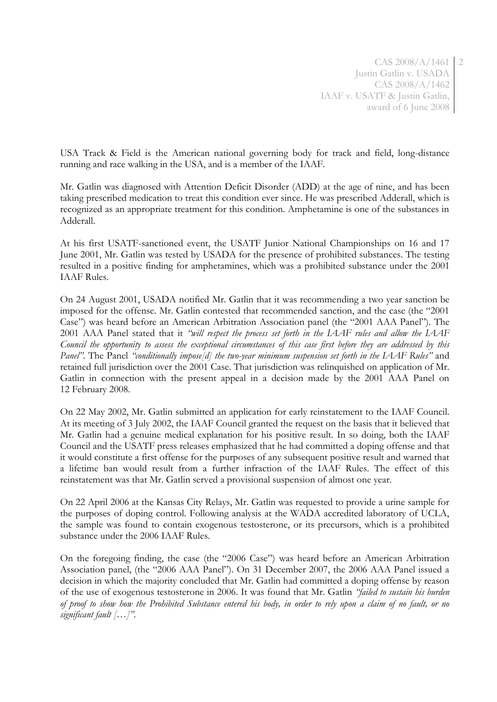CAS 2008/A/1461 2 Justin Gatlin v. USADA CAS 2008/A/1462 IAAF v. USATF & Justin Gatlin, award of 6 June 2008

USA Track & Field is the American national governing body for track and field, long-distance running and race walking in the USA, and is a member of the IAAF.

Mr. Gatlin was diagnosed with Attention Deficit Disorder (ADD) at the age of nine, and has been taking prescribed medication to treat this condition ever since. He was prescribed Adderall, which is recognized as an appropriate treatment for this condition. Amphetamine is one of the substances in Adderall.

At his first USATF-sanctioned event, the USATF Junior National Championships on 16 and 17 June 2001, Mr. Gatlin was tested by USADA for the presence of prohibited substances. The testing resulted in a positive finding for amphetamines, which was a prohibited substance under the 2001 IAAF Rules.

On 24 August 2001, USADA notified Mr. Gatlin that it was recommending a two year sanction be imposed for the offense. Mr. Gatlin contested that recommended sanction, and the case (the "2001 Case") was heard before an American Arbitration Association panel (the "2001 AAA Panel"). The 2001 AAA Panel stated that it *"will respect the process set forth in the IAAF rules and allow the IAAF Council the opportunity to assess the exceptional circumstances of this case first before they are addressed by this Panel"*. The Panel *"conditionally impose[d] the two-year minimum suspension set forth in the IAAF Rules"* and retained full jurisdiction over the 2001 Case. That jurisdiction was relinquished on application of Mr. Gatlin in connection with the present appeal in a decision made by the 2001 AAA Panel on 12 February 2008.

On 22 May 2002, Mr. Gatlin submitted an application for early reinstatement to the IAAF Council. At its meeting of 3 July 2002, the IAAF Council granted the request on the basis that it believed that Mr. Gatlin had a genuine medical explanation for his positive result. In so doing, both the IAAF Council and the USATF press releases emphasized that he had committed a doping offense and that it would constitute a first offense for the purposes of any subsequent positive result and warned that a lifetime ban would result from a further infraction of the IAAF Rules. The effect of this reinstatement was that Mr. Gatlin served a provisional suspension of almost one year.

On 22 April 2006 at the Kansas City Relays, Mr. Gatlin was requested to provide a urine sample for the purposes of doping control. Following analysis at the WADA accredited laboratory of UCLA, the sample was found to contain exogenous testosterone, or its precursors, which is a prohibited substance under the 2006 IAAF Rules.

On the foregoing finding, the case (the "2006 Case") was heard before an American Arbitration Association panel, (the "2006 AAA Panel"). On 31 December 2007, the 2006 AAA Panel issued a decision in which the majority concluded that Mr. Gatlin had committed a doping offense by reason of the use of exogenous testosterone in 2006. It was found that Mr. Gatlin *"failed to sustain his burden of proof to show how the Prohibited Substance entered his body, in order to rely upon a claim of no fault, or no significant fault […]"*.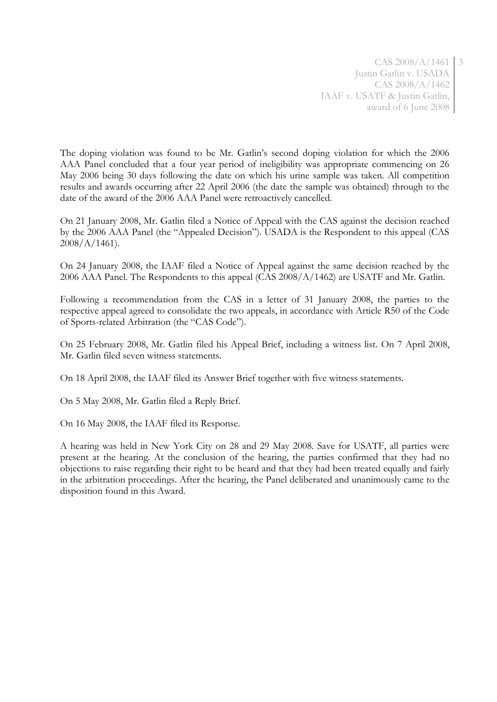CAS 2008/A/1461 3 Justin Gatlin v. USADA CAS 2008/A/1462 IAAF v. USATF & Justin Gatlin, award of 6 June 2008

The doping violation was found to be Mr. Gatlin's second doping violation for which the 2006 AAA Panel concluded that a four year period of ineligibility was appropriate commencing on 26 May 2006 being 30 days following the date on which his urine sample was taken. All competition results and awards occurring after 22 April 2006 (the date the sample was obtained) through to the date of the award of the 2006 AAA Panel were retroactively cancelled.

On 21 January 2008, Mr. Gatlin filed a Notice of Appeal with the CAS against the decision reached by the 2006 AAA Panel (the "Appealed Decision"). USADA is the Respondent to this appeal (CAS  $2008/A/1461$ .

On 24 January 2008, the IAAF filed a Notice of Appeal against the same decision reached by the 2006 AAA Panel. The Respondents to this appeal (CAS 2008/A/1462) are USATF and Mr. Gatlin.

Following a recommendation from the CAS in a letter of 31 January 2008, the parties to the respective appeal agreed to consolidate the two appeals, in accordance with Article R50 of the Code of Sports-related Arbitration (the "CAS Code").

On 25 February 2008, Mr. Gatlin filed his Appeal Brief, including a witness list. On 7 April 2008, Mr. Gatlin filed seven witness statements.

On 18 April 2008, the IAAF filed its Answer Brief together with five witness statements.

On 5 May 2008, Mr. Gatlin filed a Reply Brief.

On 16 May 2008, the IAAF filed its Response.

A hearing was held in New York City on 28 and 29 May 2008. Save for USATF, all parties were present at the hearing. At the conclusion of the hearing, the parties confirmed that they had no objections to raise regarding their right to be heard and that they had been treated equally and fairly in the arbitration proceedings. After the hearing, the Panel deliberated and unanimously came to the disposition found in this Award.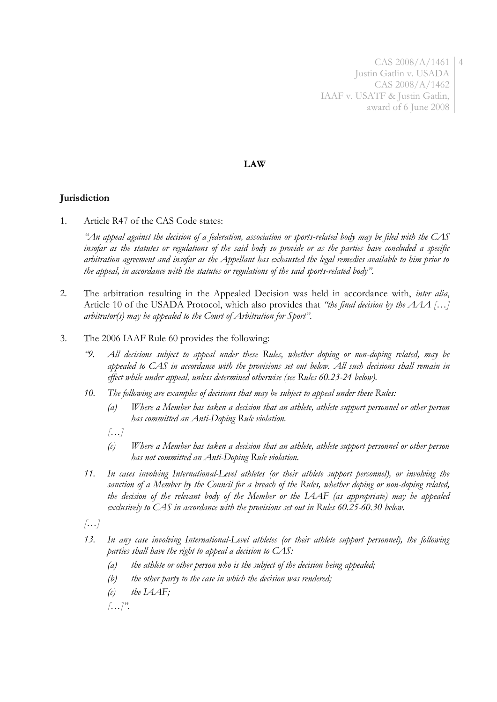CAS 2008/A/1461 4 Justin Gatlin v. USADA CAS 2008/A/1462 IAAF v. USATF & Justin Gatlin, award of 6 June 2008

### **LAW**

# **Jurisdiction**

1. Article R47 of the CAS Code states:

*"An appeal against the decision of a federation, association or sports-related body may be filed with the CAS insofar as the statutes or regulations of the said body so provide or as the parties have concluded a specific arbitration agreement and insofar as the Appellant has exhausted the legal remedies available to him prior to the appeal, in accordance with the statutes or regulations of the said sports-related body".*

- 2. The arbitration resulting in the Appealed Decision was held in accordance with, *inter alia*, Article 10 of the USADA Protocol, which also provides that *"the final decision by the AAA […] arbitrator(s) may be appealed to the Court of Arbitration for Sport"*.
- 3. The 2006 IAAF Rule 60 provides the following:
	- *"9. All decisions subject to appeal under these Rules, whether doping or non-doping related, may be appealed to CAS in accordance with the provisions set out below. All such decisions shall remain in effect while under appeal, unless determined otherwise (see Rules 60.23-24 below).*
	- *10. The following are examples of decisions that may be subject to appeal under these Rules:* 
		- *(a) Where a Member has taken a decision that an athlete, athlete support personnel or other person has committed an Anti-Doping Rule violation.*
		- *[…]*
		- *(c) Where a Member has taken a decision that an athlete, athlete support personnel or other person has not committed an Anti-Doping Rule violation.*
	- *11. In cases involving International-Level athletes (or their athlete support personnel), or involving the sanction of a Member by the Council for a breach of the Rules, whether doping or non-doping related, the decision of the relevant body of the Member or the IAAF (as appropriate) may be appealed exclusively to CAS in accordance with the provisions set out in Rules 60.25-60.30 below.*
	- *[…]*
	- *13. In any case involving International-Level athletes (or their athlete support personnel), the following parties shall have the right to appeal a decision to CAS:*
		- *(a) the athlete or other person who is the subject of the decision being appealed;*
		- *(b) the other party to the case in which the decision was rendered;*
		- *(c) the IAAF;*

*[…]".*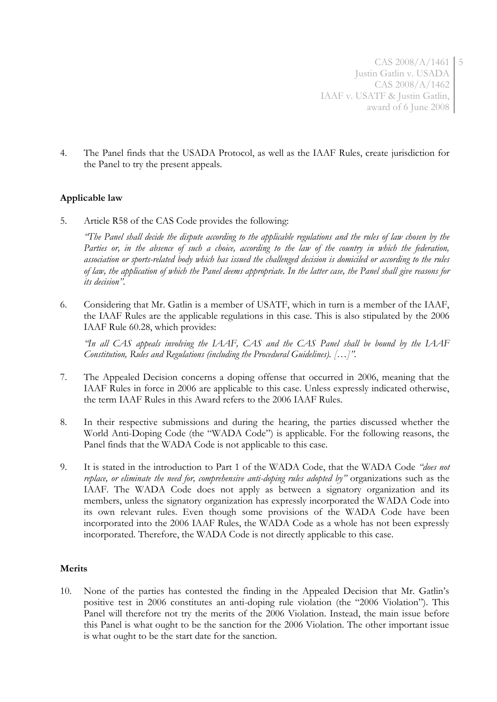CAS 2008/A/1461 5 Justin Gatlin v. USADA CAS 2008/A/1462 IAAF v. USATF & Justin Gatlin, award of 6 June 2008

4. The Panel finds that the USADA Protocol, as well as the IAAF Rules, create jurisdiction for the Panel to try the present appeals.

## **Applicable law**

5. Article R58 of the CAS Code provides the following:

*"The Panel shall decide the dispute according to the applicable regulations and the rules of law chosen by the*  Parties or, in the absence of such a choice, according to the law of the country in which the federation, *association or sports-related body which has issued the challenged decision is domiciled or according to the rules of law, the application of which the Panel deems appropriate. In the latter case, the Panel shall give reasons for its decision".*

6. Considering that Mr. Gatlin is a member of USATF, which in turn is a member of the IAAF, the IAAF Rules are the applicable regulations in this case. This is also stipulated by the 2006 IAAF Rule 60.28, which provides:

*"In all CAS appeals involving the IAAF, CAS and the CAS Panel shall be bound by the IAAF Constitution, Rules and Regulations (including the Procedural Guidelines). […]".*

- 7. The Appealed Decision concerns a doping offense that occurred in 2006, meaning that the IAAF Rules in force in 2006 are applicable to this case. Unless expressly indicated otherwise, the term IAAF Rules in this Award refers to the 2006 IAAF Rules.
- 8. In their respective submissions and during the hearing, the parties discussed whether the World Anti-Doping Code (the "WADA Code") is applicable. For the following reasons, the Panel finds that the WADA Code is not applicable to this case.
- 9. It is stated in the introduction to Part 1 of the WADA Code, that the WADA Code *"does not replace, or eliminate the need for, comprehensive anti-doping rules adopted by"* organizations such as the IAAF. The WADA Code does not apply as between a signatory organization and its members, unless the signatory organization has expressly incorporated the WADA Code into its own relevant rules. Even though some provisions of the WADA Code have been incorporated into the 2006 IAAF Rules, the WADA Code as a whole has not been expressly incorporated. Therefore, the WADA Code is not directly applicable to this case.

## **Merits**

10. None of the parties has contested the finding in the Appealed Decision that Mr. Gatlin's positive test in 2006 constitutes an anti-doping rule violation (the "2006 Violation"). This Panel will therefore not try the merits of the 2006 Violation. Instead, the main issue before this Panel is what ought to be the sanction for the 2006 Violation. The other important issue is what ought to be the start date for the sanction.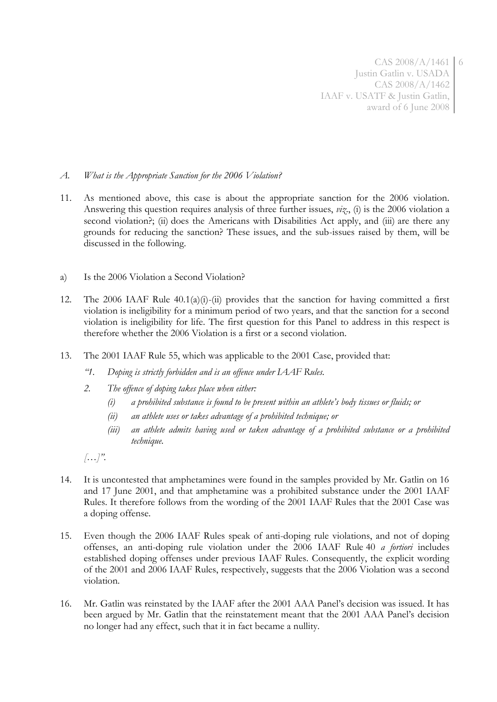CAS 2008/A/1461 6 Justin Gatlin v. USADA CAS 2008/A/1462 IAAF v. USATF & Justin Gatlin, award of 6 June 2008

### *A. What is the Appropriate Sanction for the 2006 Violation?*

- 11. As mentioned above, this case is about the appropriate sanction for the 2006 violation. Answering this question requires analysis of three further issues, *viz*., (i) is the 2006 violation a second violation?; (ii) does the Americans with Disabilities Act apply, and (iii) are there any grounds for reducing the sanction? These issues, and the sub-issues raised by them, will be discussed in the following.
- a) Is the 2006 Violation a Second Violation?
- 12. The 2006 IAAF Rule 40.1(a)(i)-(ii) provides that the sanction for having committed a first violation is ineligibility for a minimum period of two years, and that the sanction for a second violation is ineligibility for life. The first question for this Panel to address in this respect is therefore whether the 2006 Violation is a first or a second violation.
- 13. The 2001 IAAF Rule 55, which was applicable to the 2001 Case, provided that:
	- *"1. Doping is strictly forbidden and is an offence under IAAF Rules.*
	- *2. The offence of doping takes place when either:*
		- *(i) a prohibited substance is found to be present within an athlete's body tissues or fluids; or*
		- *(ii) an athlete uses or takes advantage of a prohibited technique; or*
		- *(iii) an athlete admits having used or taken advantage of a prohibited substance or a prohibited technique.*

*[…]".*

- 14. It is uncontested that amphetamines were found in the samples provided by Mr. Gatlin on 16 and 17 June 2001, and that amphetamine was a prohibited substance under the 2001 IAAF Rules. It therefore follows from the wording of the 2001 IAAF Rules that the 2001 Case was a doping offense.
- 15. Even though the 2006 IAAF Rules speak of anti-doping rule violations, and not of doping offenses, an anti-doping rule violation under the 2006 IAAF Rule 40 *a fortiori* includes established doping offenses under previous IAAF Rules. Consequently, the explicit wording of the 2001 and 2006 IAAF Rules, respectively, suggests that the 2006 Violation was a second violation.
- 16. Mr. Gatlin was reinstated by the IAAF after the 2001 AAA Panel's decision was issued. It has been argued by Mr. Gatlin that the reinstatement meant that the 2001 AAA Panel's decision no longer had any effect, such that it in fact became a nullity.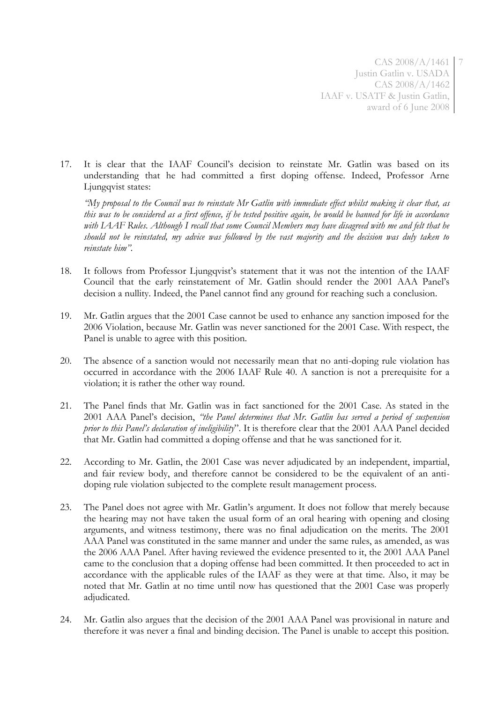CAS 2008/A/1461 7 Justin Gatlin v. USADA CAS 2008/A/1462 IAAF v. USATF & Justin Gatlin, award of 6 June 2008

17. It is clear that the IAAF Council's decision to reinstate Mr. Gatlin was based on its understanding that he had committed a first doping offense. Indeed, Professor Arne Ljungqvist states:

*"My proposal to the Council was to reinstate Mr Gatlin with immediate effect whilst making it clear that, as this was to be considered as a first offence, if he tested positive again, he would be banned for life in accordance*  with IAAF Rules. Although I recall that some Council Members may have disagreed with me and felt that he *should not be reinstated, my advice was followed by the vast majority and the decision was duly taken to reinstate him".*

- 18. It follows from Professor Ljungqvist's statement that it was not the intention of the IAAF Council that the early reinstatement of Mr. Gatlin should render the 2001 AAA Panel's decision a nullity. Indeed, the Panel cannot find any ground for reaching such a conclusion.
- 19. Mr. Gatlin argues that the 2001 Case cannot be used to enhance any sanction imposed for the 2006 Violation, because Mr. Gatlin was never sanctioned for the 2001 Case. With respect, the Panel is unable to agree with this position.
- 20. The absence of a sanction would not necessarily mean that no anti-doping rule violation has occurred in accordance with the 2006 IAAF Rule 40. A sanction is not a prerequisite for a violation; it is rather the other way round.
- 21. The Panel finds that Mr. Gatlin was in fact sanctioned for the 2001 Case. As stated in the 2001 AAA Panel's decision, *"the Panel determines that Mr. Gatlin has served a period of suspension prior to this Panel's declaration of ineligibility*". It is therefore clear that the 2001 AAA Panel decided that Mr. Gatlin had committed a doping offense and that he was sanctioned for it.
- 22. According to Mr. Gatlin, the 2001 Case was never adjudicated by an independent, impartial, and fair review body, and therefore cannot be considered to be the equivalent of an antidoping rule violation subjected to the complete result management process.
- 23. The Panel does not agree with Mr. Gatlin's argument. It does not follow that merely because the hearing may not have taken the usual form of an oral hearing with opening and closing arguments, and witness testimony, there was no final adjudication on the merits. The 2001 AAA Panel was constituted in the same manner and under the same rules, as amended, as was the 2006 AAA Panel. After having reviewed the evidence presented to it, the 2001 AAA Panel came to the conclusion that a doping offense had been committed. It then proceeded to act in accordance with the applicable rules of the IAAF as they were at that time. Also, it may be noted that Mr. Gatlin at no time until now has questioned that the 2001 Case was properly adjudicated.
- 24. Mr. Gatlin also argues that the decision of the 2001 AAA Panel was provisional in nature and therefore it was never a final and binding decision. The Panel is unable to accept this position.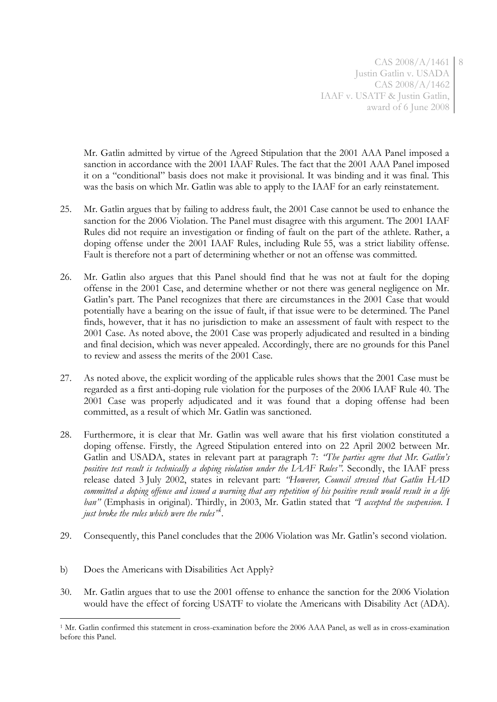CAS 2008/A/1461 8 Justin Gatlin v. USADA CAS 2008/A/1462 IAAF v. USATF & Justin Gatlin, award of 6 June 2008

Mr. Gatlin admitted by virtue of the Agreed Stipulation that the 2001 AAA Panel imposed a sanction in accordance with the 2001 IAAF Rules. The fact that the 2001 AAA Panel imposed it on a "conditional" basis does not make it provisional. It was binding and it was final. This was the basis on which Mr. Gatlin was able to apply to the IAAF for an early reinstatement.

- 25. Mr. Gatlin argues that by failing to address fault, the 2001 Case cannot be used to enhance the sanction for the 2006 Violation. The Panel must disagree with this argument. The 2001 IAAF Rules did not require an investigation or finding of fault on the part of the athlete. Rather, a doping offense under the 2001 IAAF Rules, including Rule 55, was a strict liability offense. Fault is therefore not a part of determining whether or not an offense was committed.
- 26. Mr. Gatlin also argues that this Panel should find that he was not at fault for the doping offense in the 2001 Case, and determine whether or not there was general negligence on Mr. Gatlin's part. The Panel recognizes that there are circumstances in the 2001 Case that would potentially have a bearing on the issue of fault, if that issue were to be determined. The Panel finds, however, that it has no jurisdiction to make an assessment of fault with respect to the 2001 Case. As noted above, the 2001 Case was properly adjudicated and resulted in a binding and final decision, which was never appealed. Accordingly, there are no grounds for this Panel to review and assess the merits of the 2001 Case.
- 27. As noted above, the explicit wording of the applicable rules shows that the 2001 Case must be regarded as a first anti-doping rule violation for the purposes of the 2006 IAAF Rule 40. The 2001 Case was properly adjudicated and it was found that a doping offense had been committed, as a result of which Mr. Gatlin was sanctioned.
- 28. Furthermore, it is clear that Mr. Gatlin was well aware that his first violation constituted a doping offense. Firstly, the Agreed Stipulation entered into on 22 April 2002 between Mr. Gatlin and USADA, states in relevant part at paragraph 7: *"The parties agree that Mr. Gatlin's positive test result is technically a doping violation under the IAAF Rules".* Secondly, the IAAF press release dated 3 July 2002, states in relevant part: *"However, Council stressed that Gatlin HAD committed a doping offence and issued a warning that any repetition of his positive result would result in a life ban"* (Emphasis in original). Thirdly, in 2003, Mr. Gatlin stated that *"I accepted the suspension. I just broke the rules which were the rules"* 1 *.*
- 29. Consequently, this Panel concludes that the 2006 Violation was Mr. Gatlin's second violation.
- b) Does the Americans with Disabilities Act Apply?

<u>.</u>

30. Mr. Gatlin argues that to use the 2001 offense to enhance the sanction for the 2006 Violation would have the effect of forcing USATF to violate the Americans with Disability Act (ADA).

<sup>1</sup> Mr. Gatlin confirmed this statement in cross-examination before the 2006 AAA Panel, as well as in cross-examination before this Panel.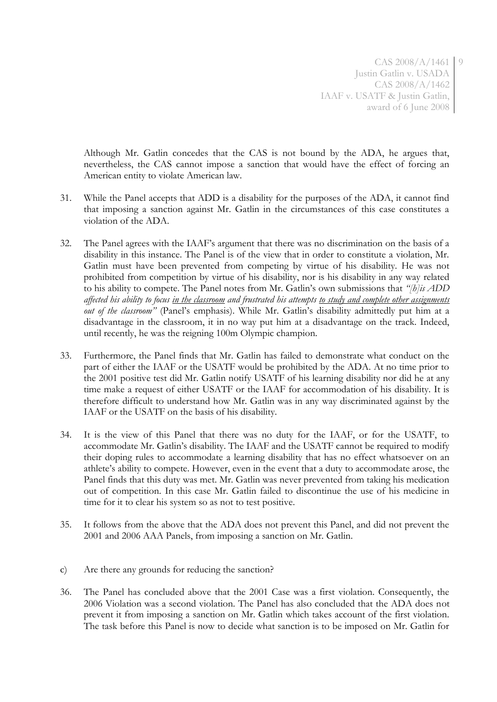CAS 2008/A/1461 9 Justin Gatlin v. USADA CAS 2008/A/1462 IAAF v. USATF & Justin Gatlin, award of 6 June 2008

Although Mr. Gatlin concedes that the CAS is not bound by the ADA, he argues that, nevertheless, the CAS cannot impose a sanction that would have the effect of forcing an American entity to violate American law.

- 31. While the Panel accepts that ADD is a disability for the purposes of the ADA, it cannot find that imposing a sanction against Mr. Gatlin in the circumstances of this case constitutes a violation of the ADA.
- 32. The Panel agrees with the IAAF's argument that there was no discrimination on the basis of a disability in this instance. The Panel is of the view that in order to constitute a violation, Mr. Gatlin must have been prevented from competing by virtue of his disability. He was not prohibited from competition by virtue of his disability, nor is his disability in any way related to his ability to compete. The Panel notes from Mr. Gatlin's own submissions that *"[h]is ADD affected his ability to focus in the classroom and frustrated his attempts to study and complete other assignments out of the classroom"* (Panel's emphasis). While Mr. Gatlin's disability admittedly put him at a disadvantage in the classroom, it in no way put him at a disadvantage on the track. Indeed, until recently, he was the reigning 100m Olympic champion.
- 33. Furthermore, the Panel finds that Mr. Gatlin has failed to demonstrate what conduct on the part of either the IAAF or the USATF would be prohibited by the ADA. At no time prior to the 2001 positive test did Mr. Gatlin notify USATF of his learning disability nor did he at any time make a request of either USATF or the IAAF for accommodation of his disability. It is therefore difficult to understand how Mr. Gatlin was in any way discriminated against by the IAAF or the USATF on the basis of his disability.
- 34. It is the view of this Panel that there was no duty for the IAAF, or for the USATF, to accommodate Mr. Gatlin's disability. The IAAF and the USATF cannot be required to modify their doping rules to accommodate a learning disability that has no effect whatsoever on an athlete's ability to compete. However, even in the event that a duty to accommodate arose, the Panel finds that this duty was met. Mr. Gatlin was never prevented from taking his medication out of competition. In this case Mr. Gatlin failed to discontinue the use of his medicine in time for it to clear his system so as not to test positive.
- 35. It follows from the above that the ADA does not prevent this Panel, and did not prevent the 2001 and 2006 AAA Panels, from imposing a sanction on Mr. Gatlin.
- c) Are there any grounds for reducing the sanction?
- 36. The Panel has concluded above that the 2001 Case was a first violation. Consequently, the 2006 Violation was a second violation. The Panel has also concluded that the ADA does not prevent it from imposing a sanction on Mr. Gatlin which takes account of the first violation. The task before this Panel is now to decide what sanction is to be imposed on Mr. Gatlin for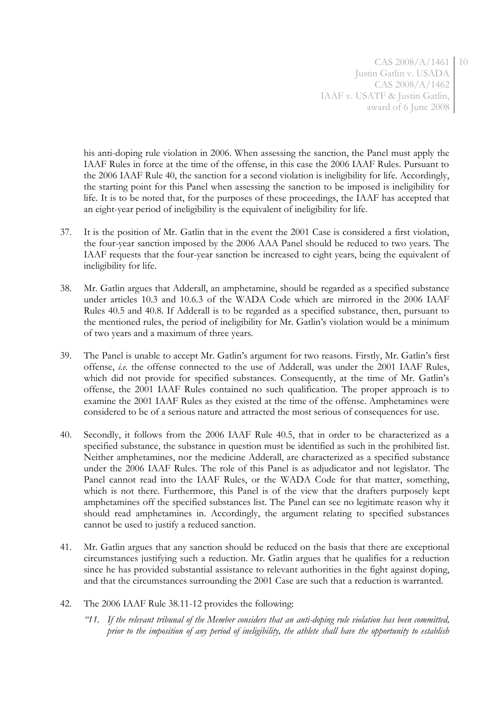CAS 2008/A/1461 10 Justin Gatlin v. USADA CAS 2008/A/1462 IAAF v. USATF & Justin Gatlin, award of 6 June 2008

his anti-doping rule violation in 2006. When assessing the sanction, the Panel must apply the IAAF Rules in force at the time of the offense, in this case the 2006 IAAF Rules. Pursuant to the 2006 IAAF Rule 40, the sanction for a second violation is ineligibility for life. Accordingly, the starting point for this Panel when assessing the sanction to be imposed is ineligibility for life. It is to be noted that, for the purposes of these proceedings, the IAAF has accepted that an eight-year period of ineligibility is the equivalent of ineligibility for life.

- 37. It is the position of Mr. Gatlin that in the event the 2001 Case is considered a first violation, the four-year sanction imposed by the 2006 AAA Panel should be reduced to two years. The IAAF requests that the four-year sanction be increased to eight years, being the equivalent of ineligibility for life.
- 38. Mr. Gatlin argues that Adderall, an amphetamine, should be regarded as a specified substance under articles 10.3 and 10.6.3 of the WADA Code which are mirrored in the 2006 IAAF Rules 40.5 and 40.8. If Adderall is to be regarded as a specified substance, then, pursuant to the mentioned rules, the period of ineligibility for Mr. Gatlin's violation would be a minimum of two years and a maximum of three years.
- 39. The Panel is unable to accept Mr. Gatlin's argument for two reasons. Firstly, Mr. Gatlin's first offense, *i.e.* the offense connected to the use of Adderall, was under the 2001 IAAF Rules, which did not provide for specified substances. Consequently, at the time of Mr. Gatlin's offense, the 2001 IAAF Rules contained no such qualification. The proper approach is to examine the 2001 IAAF Rules as they existed at the time of the offense. Amphetamines were considered to be of a serious nature and attracted the most serious of consequences for use.
- 40. Secondly, it follows from the 2006 IAAF Rule 40.5, that in order to be characterized as a specified substance, the substance in question must be identified as such in the prohibited list. Neither amphetamines, nor the medicine Adderall, are characterized as a specified substance under the 2006 IAAF Rules. The role of this Panel is as adjudicator and not legislator. The Panel cannot read into the IAAF Rules, or the WADA Code for that matter, something, which is not there. Furthermore, this Panel is of the view that the drafters purposely kept amphetamines off the specified substances list. The Panel can see no legitimate reason why it should read amphetamines in. Accordingly, the argument relating to specified substances cannot be used to justify a reduced sanction.
- 41. Mr. Gatlin argues that any sanction should be reduced on the basis that there are exceptional circumstances justifying such a reduction. Mr. Gatlin argues that he qualifies for a reduction since he has provided substantial assistance to relevant authorities in the fight against doping, and that the circumstances surrounding the 2001 Case are such that a reduction is warranted.
- 42. The 2006 IAAF Rule 38.11-12 provides the following:
	- *"11. If the relevant tribunal of the Member considers that an anti-doping rule violation has been committed, prior to the imposition of any period of ineligibility, the athlete shall have the opportunity to establish*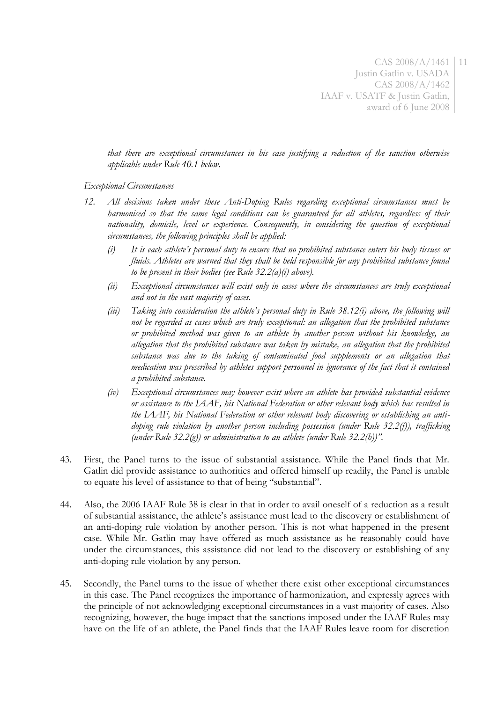CAS 2008/A/1461 11 Justin Gatlin v. USADA CAS 2008/A/1462 IAAF v. USATF & Justin Gatlin, award of 6 June 2008

*that there are exceptional circumstances in his case justifying a reduction of the sanction otherwise applicable under Rule 40.1 below.*

#### *Exceptional Circumstances*

- *12. All decisions taken under these Anti-Doping Rules regarding exceptional circumstances must be harmonised so that the same legal conditions can be guaranteed for all athletes, regardless of their nationality, domicile, level or experience. Consequently, in considering the question of exceptional circumstances, the following principles shall be applied:*
	- *(i) It is each athlete's personal duty to ensure that no prohibited substance enters his body tissues or fluids. Athletes are warned that they shall be held responsible for any prohibited substance found to be present in their bodies (see Rule 32.2(a)(i) above).*
	- *(ii) Exceptional circumstances will exist only in cases where the circumstances are truly exceptional and not in the vast majority of cases.*
	- *(iii) Taking into consideration the athlete's personal duty in Rule 38.12(i) above, the following will not be regarded as cases which are truly exceptional: an allegation that the prohibited substance or prohibited method was given to an athlete by another person without his knowledge, an allegation that the prohibited substance was taken by mistake, an allegation that the prohibited substance was due to the taking of contaminated food supplements or an allegation that medication was prescribed by athletes support personnel in ignorance of the fact that it contained a prohibited substance.*
	- *(iv) Exceptional circumstances may however exist where an athlete has provided substantial evidence or assistance to the IAAF, his National Federation or other relevant body which has resulted in the IAAF, his National Federation or other relevant body discovering or establishing an antidoping rule violation by another person including possession (under Rule 32.2(f)), trafficking (under Rule 32.2(g)) or administration to an athlete (under Rule 32.2(h))".*
- 43. First, the Panel turns to the issue of substantial assistance. While the Panel finds that Mr. Gatlin did provide assistance to authorities and offered himself up readily, the Panel is unable to equate his level of assistance to that of being "substantial".
- 44. Also, the 2006 IAAF Rule 38 is clear in that in order to avail oneself of a reduction as a result of substantial assistance, the athlete's assistance must lead to the discovery or establishment of an anti-doping rule violation by another person. This is not what happened in the present case. While Mr. Gatlin may have offered as much assistance as he reasonably could have under the circumstances, this assistance did not lead to the discovery or establishing of any anti-doping rule violation by any person.
- 45. Secondly, the Panel turns to the issue of whether there exist other exceptional circumstances in this case. The Panel recognizes the importance of harmonization, and expressly agrees with the principle of not acknowledging exceptional circumstances in a vast majority of cases. Also recognizing, however, the huge impact that the sanctions imposed under the IAAF Rules may have on the life of an athlete, the Panel finds that the IAAF Rules leave room for discretion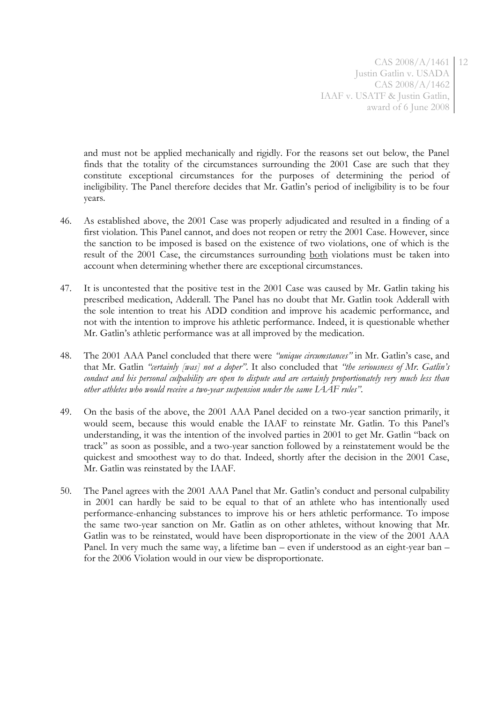CAS 2008/A/1461 12 Justin Gatlin v. USADA CAS 2008/A/1462 IAAF v. USATF & Justin Gatlin, award of 6 June 2008

and must not be applied mechanically and rigidly. For the reasons set out below, the Panel finds that the totality of the circumstances surrounding the 2001 Case are such that they constitute exceptional circumstances for the purposes of determining the period of ineligibility. The Panel therefore decides that Mr. Gatlin's period of ineligibility is to be four years.

- 46. As established above, the 2001 Case was properly adjudicated and resulted in a finding of a first violation. This Panel cannot, and does not reopen or retry the 2001 Case. However, since the sanction to be imposed is based on the existence of two violations, one of which is the result of the 2001 Case, the circumstances surrounding both violations must be taken into account when determining whether there are exceptional circumstances.
- 47. It is uncontested that the positive test in the 2001 Case was caused by Mr. Gatlin taking his prescribed medication, Adderall. The Panel has no doubt that Mr. Gatlin took Adderall with the sole intention to treat his ADD condition and improve his academic performance, and not with the intention to improve his athletic performance. Indeed, it is questionable whether Mr. Gatlin's athletic performance was at all improved by the medication.
- 48. The 2001 AAA Panel concluded that there were *"unique circumstances"* in Mr. Gatlin's case, and that Mr. Gatlin *"certainly [was] not a doper"*. It also concluded that *"the seriousness of Mr. Gatlin's conduct and his personal culpability are open to dispute and are certainly proportionately very much less than other athletes who would receive a two-year suspension under the same IAAF rules"*.
- 49. On the basis of the above, the 2001 AAA Panel decided on a two-year sanction primarily, it would seem, because this would enable the IAAF to reinstate Mr. Gatlin. To this Panel's understanding, it was the intention of the involved parties in 2001 to get Mr. Gatlin "back on track" as soon as possible, and a two-year sanction followed by a reinstatement would be the quickest and smoothest way to do that. Indeed, shortly after the decision in the 2001 Case, Mr. Gatlin was reinstated by the IAAF.
- 50. The Panel agrees with the 2001 AAA Panel that Mr. Gatlin's conduct and personal culpability in 2001 can hardly be said to be equal to that of an athlete who has intentionally used performance-enhancing substances to improve his or hers athletic performance. To impose the same two-year sanction on Mr. Gatlin as on other athletes, without knowing that Mr. Gatlin was to be reinstated, would have been disproportionate in the view of the 2001 AAA Panel. In very much the same way, a lifetime ban – even if understood as an eight-year ban – for the 2006 Violation would in our view be disproportionate.